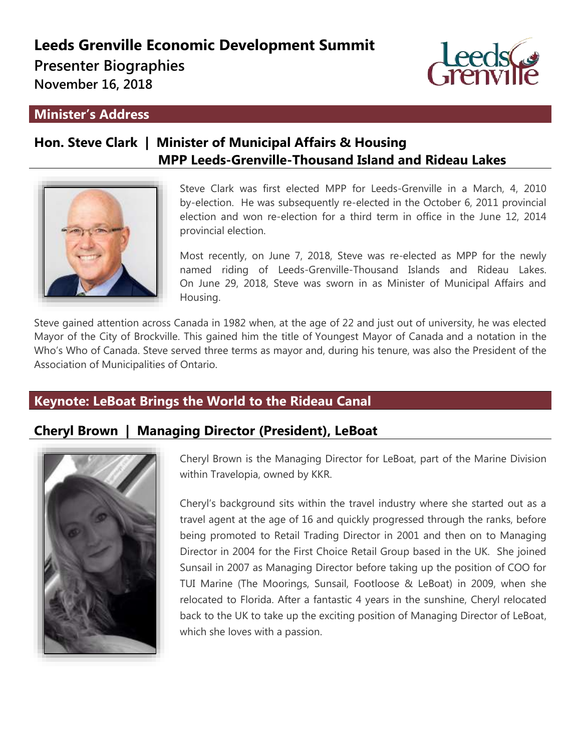# **Leeds Grenville Economic Development Summit**

**Presenter Biographies** 

**November 16, 2018**

### **Minister's Address**

# **Hon. Steve Clark | Minister of Municipal Affairs & Housing MPP Leeds-Grenville-Thousand Island and Rideau Lakes**



Steve Clark was first elected MPP for Leeds-Grenville in a March, 4, 2010 by-election. He was subsequently re-elected in the October 6, 2011 provincial election and won re-election for a third term in office in the June 12, 2014 provincial election.

Most recently, on June 7, 2018, Steve was re-elected as MPP for the newly named riding of Leeds-Grenville-Thousand Islands and Rideau Lakes. On June 29, 2018, Steve was sworn in as Minister of Municipal Affairs and Housing.

Steve gained attention across Canada in 1982 when, at the age of 22 and just out of university, he was elected Mayor of the City of Brockville. This gained him the title of Youngest Mayor of Canada and a notation in the Who's Who of Canada. Steve served three terms as mayor and, during his tenure, was also the President of the Association of Municipalities of Ontario.

## **Keynote: LeBoat Brings the World to the Rideau Canal**

## **Cheryl Brown | Managing Director (President), LeBoat**



Cheryl Brown is the Managing Director for LeBoat, part of the Marine Division within Travelopia, owned by KKR.

Cheryl's background sits within the travel industry where she started out as a travel agent at the age of 16 and quickly progressed through the ranks, before being promoted to Retail Trading Director in 2001 and then on to Managing Director in 2004 for the First Choice Retail Group based in the UK. She joined Sunsail in 2007 as Managing Director before taking up the position of COO for TUI Marine (The Moorings, Sunsail, Footloose & LeBoat) in 2009, when she relocated to Florida. After a fantastic 4 years in the sunshine, Cheryl relocated back to the UK to take up the exciting position of Managing Director of LeBoat, which she loves with a passion.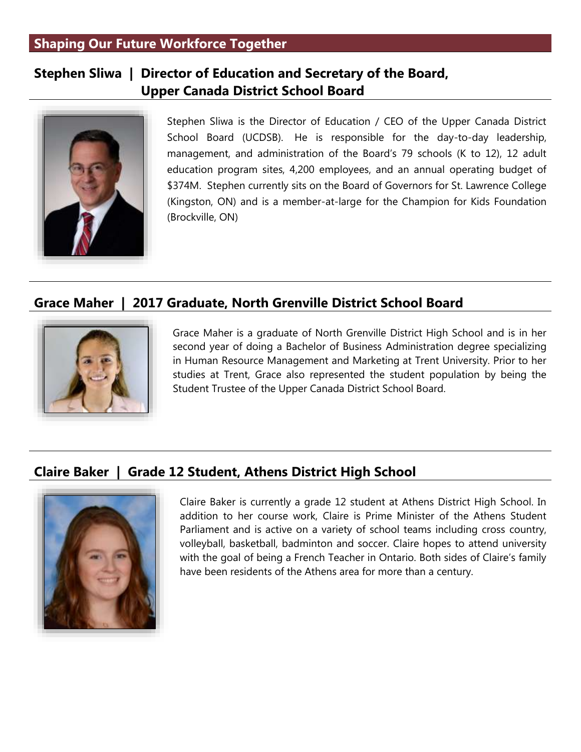## **Shaping Our Future Workforce Together**

## **Stephen Sliwa | Director of Education and Secretary of the Board, Upper Canada District School Board**



Stephen Sliwa is the Director of Education / CEO of the Upper Canada District School Board (UCDSB). He is responsible for the day-to-day leadership, management, and administration of the Board's 79 schools (K to 12), 12 adult education program sites, 4,200 employees, and an annual operating budget of \$374M. Stephen currently sits on the Board of Governors for St. Lawrence College (Kingston, ON) and is a member-at-large for the Champion for Kids Foundation (Brockville, ON)

## **Grace Maher | 2017 Graduate, North Grenville District School Board**



Grace Maher is a graduate of North Grenville District High School and is in her second year of doing a Bachelor of Business Administration degree specializing in Human Resource Management and Marketing at Trent University. Prior to her studies at Trent, Grace also represented the student population by being the Student Trustee of the Upper Canada District School Board.

## **Claire Baker | Grade 12 Student, Athens District High School**



Claire Baker is currently a grade 12 student at Athens District High School. In addition to her course work, Claire is Prime Minister of the Athens Student Parliament and is active on a variety of school teams including cross country, volleyball, basketball, badminton and soccer. Claire hopes to attend university with the goal of being a French Teacher in Ontario. Both sides of Claire's family have been residents of the Athens area for more than a century.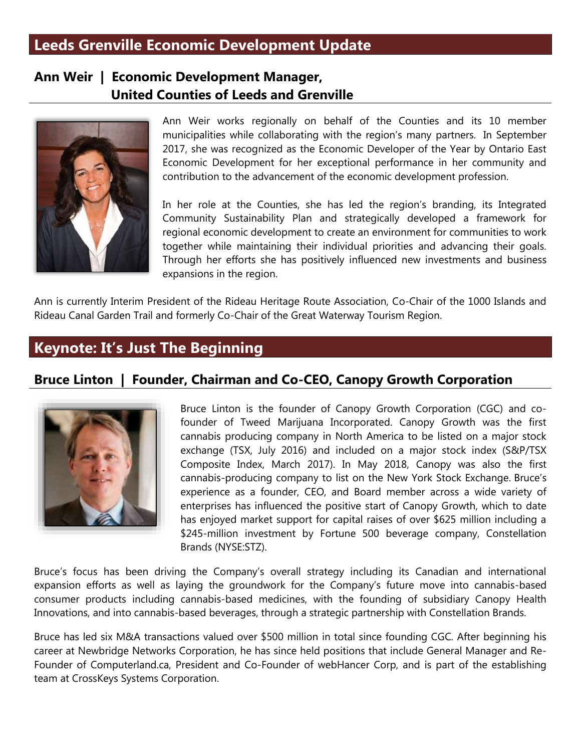# **Leeds Grenville Economic Development Update**

## **Ann Weir | Economic Development Manager, United Counties of Leeds and Grenville**



Ann Weir works regionally on behalf of the Counties and its 10 member municipalities while collaborating with the region's many partners. In September 2017, she was recognized as the Economic Developer of the Year by Ontario East Economic Development for her exceptional performance in her community and contribution to the advancement of the economic development profession.

In her role at the Counties, she has led the region's branding, its Integrated Community Sustainability Plan and strategically developed a framework for regional economic development to create an environment for communities to work together while maintaining their individual priorities and advancing their goals. Through her efforts she has positively influenced new investments and business expansions in the region.

Ann is currently Interim President of the Rideau Heritage Route Association, Co-Chair of the 1000 Islands and Rideau Canal Garden Trail and formerly Co-Chair of the Great Waterway Tourism Region.

# **Keynote: It's Just The Beginning**

## **Bruce Linton | Founder, Chairman and Co-CEO, Canopy Growth Corporation**



Bruce Linton is the founder of Canopy Growth Corporation (CGC) and cofounder of Tweed Marijuana Incorporated. Canopy Growth was the first cannabis producing company in North America to be listed on a major stock exchange (TSX, July 2016) and included on a major stock index (S&P/TSX Composite Index, March 2017). In May 2018, Canopy was also the first cannabis-producing company to list on the New York Stock Exchange. Bruce's experience as a founder, CEO, and Board member across a wide variety of enterprises has influenced the positive start of Canopy Growth, which to date has enjoyed market support for capital raises of over \$625 million including a \$245-million investment by Fortune 500 beverage company, Constellation Brands (NYSE:STZ).

Bruce's focus has been driving the Company's overall strategy including its Canadian and international expansion efforts as well as laying the groundwork for the Company's future move into cannabis-based consumer products including cannabis-based medicines, with the founding of subsidiary Canopy Health Innovations, and into cannabis-based beverages, through a strategic partnership with Constellation Brands.

Bruce has led six M&A transactions valued over \$500 million in total since founding CGC. After beginning his career at Newbridge Networks Corporation, he has since held positions that include General Manager and Re-Founder of Computerland.ca, President and Co-Founder of webHancer Corp, and is part of the establishing team at CrossKeys Systems Corporation.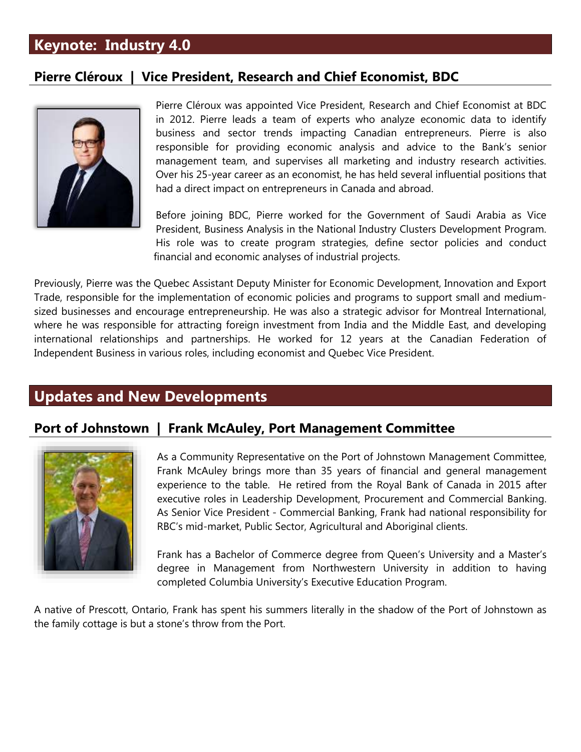# **Keynote: Industry 4.0**

## **Pierre Cléroux | Vice President, Research and Chief Economist, BDC**



Pierre Cléroux was appointed Vice President, Research and Chief Economist at BDC in 2012. Pierre leads a team of experts who analyze economic data to identify business and sector trends impacting Canadian entrepreneurs. Pierre is also responsible for providing economic analysis and advice to the Bank's senior management team, and supervises all marketing and industry research activities. Over his 25-year career as an economist, he has held several influential positions that had a direct impact on entrepreneurs in Canada and abroad.

Before joining BDC, Pierre worked for the Government of Saudi Arabia as Vice President, Business Analysis in the National Industry Clusters Development Program. His role was to create program strategies, define sector policies and conduct financial and economic analyses of industrial projects.

Previously, Pierre was the Quebec Assistant Deputy Minister for Economic Development, Innovation and Export Trade, responsible for the implementation of economic policies and programs to support small and mediumsized businesses and encourage entrepreneurship. He was also a strategic advisor for Montreal International, where he was responsible for attracting foreign investment from India and the Middle East, and developing international relationships and partnerships. He worked for 12 years at the Canadian Federation of Independent Business in various roles, including economist and Quebec Vice President.

## **Updates and New Developments**

## **Port of Johnstown | Frank McAuley, Port Management Committee**



As a Community Representative on the Port of Johnstown Management Committee, Frank McAuley brings more than 35 years of financial and general management experience to the table. He retired from the Royal Bank of Canada in 2015 after executive roles in Leadership Development, Procurement and Commercial Banking. As Senior Vice President - Commercial Banking, Frank had national responsibility for RBC's mid-market, Public Sector, Agricultural and Aboriginal clients.

Frank has a Bachelor of Commerce degree from Queen's University and a Master's degree in Management from Northwestern University in addition to having completed Columbia University's Executive Education Program.

A native of Prescott, Ontario, Frank has spent his summers literally in the shadow of the Port of Johnstown as the family cottage is but a stone's throw from the Port.